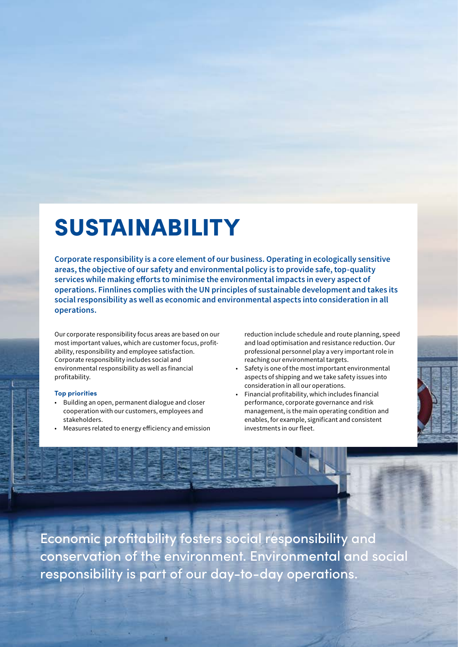# SUSTAINABILITY

**Corporate responsibility is a core element of our business. Operating in ecologically sensitive areas, the objective of our safety and environmental policy is to provide safe, top-quality services while making efforts to minimise the environmental impacts in every aspect of operations. Finnlines complies with the UN principles of sustainable development and takes its social responsibility as well as economic and environmental aspects into consideration in all operations.** 

Our corporate responsibility focus areas are based on our most important values, which are customer focus, profitability, responsibility and employee satisfaction. Corporate responsibility includes social and environmental responsibility as well as financial profitability.

#### **Top priorities**

- Building an open, permanent dialogue and closer cooperation with our customers, employees and stakeholders.
- Measures related to energy efficiency and emission

reduction include schedule and route planning, speed and load optimisation and resistance reduction. Our professional personnel play a very important role in reaching our environmental targets.

- Safety is one of the most important environmental aspects of shipping and we take safety issues into consideration in all our operations.
- Financial profitability, which includes financial performance, corporate governance and risk management, is the main operating condition and enables, for example, significant and consistent investments in our fleet.

Economic profitability fosters social responsibility and conservation of the environment. Environmental and social responsibility is part of our day-to-day operations.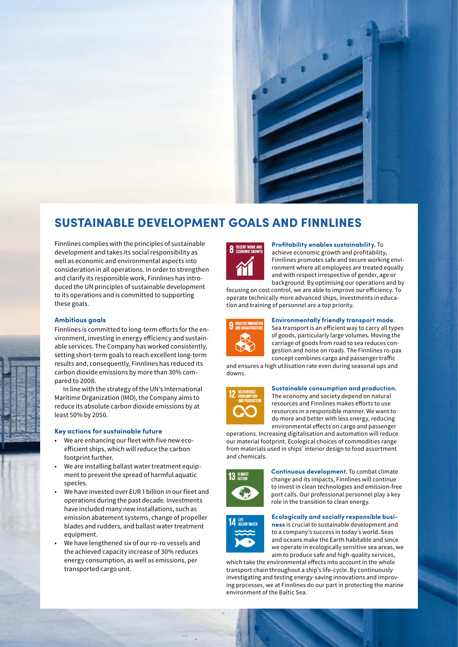

### SUSTAINABLE DEVELOPMENT GOALS AND FINNLINES

Finnlines complies with the principles of sustainable development and takes its social responsibility as well as economic and environmental aspects into consideration in all operations. In order to strengthen and clarify its responsible work, Finnlines has introduced the UN principles of sustainable development to its operations and is committed to supporting these goals.

#### **Ambitious goals**

Finnlines is committed to long-term efforts for the environment, investing in energy efficiency and sustainable services. The Company has worked consistently, setting short-term goals to reach excellent long-term results and, consequently, Finnlines has reduced its carbon dioxide emissions by more than 30% compared to 2008.

In line with the strategy of the UN's International Maritime Organization (IMO), the Company aims to reduce its absolute carbon dioxide emissions by at least 50% by 2050.

#### **Key actions for sustainable future**

- We are enhancing our fleet with five new ecoefficient ships, which will reduce the carbon footprint further.
- We are installing ballast water treatment equipment to prevent the spread of harmful aquatic species.
- We have invested over EUR 1 billion in our fleet and operations during the past decade. Investments have included many new installations, such as emission abatement systems, change of propeller blades and rudders, and ballast water treatment equipment.
- We have lengthened six of our ro-ro vessels and the achieved capacity increase of 30% reduces energy consumption, as well as emissions, per transported cargo unit.



#### **Profitability enables sustainability.** To

achieve economic growth and profitability, Finnlines promotes safe and secure working environment where all employees are treated equally and with respect irrespective of gender, age or background. By optimising our operations and by

focusing on cost control, we are able to improve our efficiency. To operate technically more advanced ships, investments in education and training of personnel are a top priority.



#### **Environmentally friendly transport mode.**

Sea transport is an efficient way to carry all types of goods, particularly large volumes. Moving the carriage of goods from road to sea reduces congestion and noise on roads. The Finnlines ro-pax concept combines cargo and passenger traffic

and ensures a high utilisation rate even during seasonal ups and downs.



#### **Sustainable consumption and production.**

The economy and society depend on natural resources and Finnlines makes efforts to use resources in a responsible manner. We want to do more and better with less energy, reducing environmental effects on cargo and passenger

operations. Increasing digitalisation and automation will reduce our material footprint. Ecological choices of commodities range from materials used in ships' interior design to food assortment and chemicals.



**Continuous development.** To combat climate change and its impacts, Finnlines will continue to invest in clean technologies and emission-free port calls. Our professional personnel play a key role in the transition to clean energy.



#### **Ecologically and socially responsible busi-**

**ness** is crucial to sustainable development and to a company's success in today's world. Seas and oceans make the Earth habitable and since we operate in ecologically sensitive sea areas, we aim to produce safe and high-quality services, which take the environmental effects into account in the whole

transport chain throughout a ship's life-cycle. By continuously investigating and testing energy-saving innovations and improving processes, we at Finnlines do our part in protecting the marine environment of the Baltic Sea.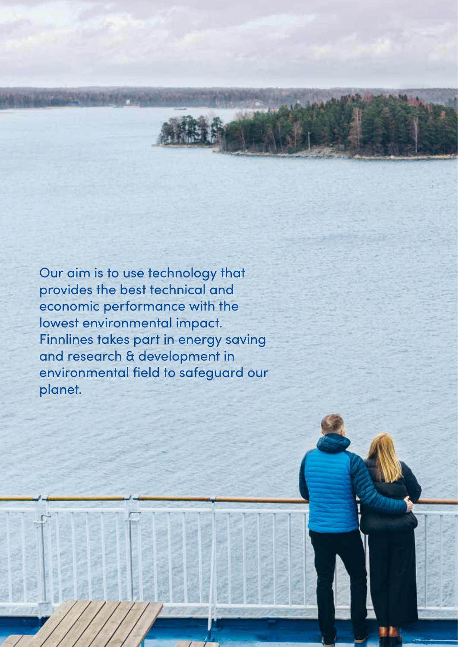Our aim is to use technology that provides the best technical and economic performance with the lowest environmental impact. Finnlines takes part in energy saving and research & development in environmental field to safeguard our planet.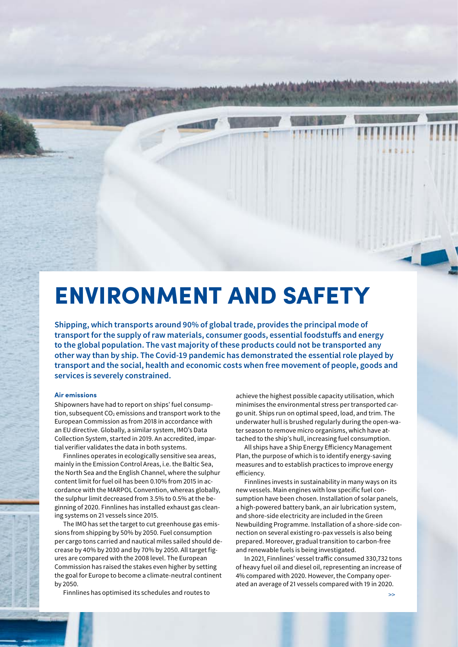## ENVIRONMENT AND SAFETY

**Shipping, which transports around 90% of global trade, provides the principal mode of transport for the supply of raw materials, consumer goods, essential foodstuffs and energy to the global population. The vast majority of these products could not be transported any other way than by ship. The Covid-19 pandemic has demonstrated the essential role played by transport and the social, health and economic costs when free movement of people, goods and services is severely constrained.** 

#### **Air emissions**

Shipowners have had to report on ships' fuel consumption, subsequent  $CO<sub>2</sub>$  emissions and transport work to the European Commission as from 2018 in accordance with an EU directive. Globally, a similar system, IMO's Data Collection System, started in 2019. An accredited, impartial verifier validates the data in both systems.

Finnlines operates in ecologically sensitive sea areas, mainly in the Emission Control Areas, i.e. the Baltic Sea, the North Sea and the English Channel, where the sulphur content limit for fuel oil has been 0.10% from 2015 in accordance with the MARPOL Convention, whereas globally, the sulphur limit decreased from 3.5% to 0.5% at the beginning of 2020. Finnlines has installed exhaust gas cleaning systems on 21 vessels since 2015.

The IMO has set the target to cut greenhouse gas emissions from shipping by 50% by 2050. Fuel consumption per cargo tons carried and nautical miles sailed should decrease by 40% by 2030 and by 70% by 2050. All target figures are compared with the 2008 level. The European Commission has raised the stakes even higher by setting the goal for Europe to become a climate-neutral continent by 2050.

Finnlines has optimised its schedules and routes to

achieve the highest possible capacity utilisation, which minimises the environmental stress per transported cargo unit. Ships run on optimal speed, load, and trim. The underwater hull is brushed regularly during the open-water season to remove micro organisms, which have attached to the ship's hull, increasing fuel consumption.

All ships have a Ship Energy Efficiency Management Plan, the purpose of which is to identify energy-saving measures and to establish practices to improve energy efficiency.

Finnlines invests in sustainability in many ways on its new vessels. Main engines with low specific fuel consumption have been chosen. Installation of solar panels, a high-powered battery bank, an air lubrication system, and shore-side electricity are included in the Green Newbuilding Programme. Installation of a shore-side connection on several existing ro-pax vessels is also being prepared. Moreover, gradual transition to carbon-free and renewable fuels is being investigated.

In 2021, Finnlines' vessel traffic consumed 330,732 tons of heavy fuel oil and diesel oil, representing an increase of 4% compared with 2020. However, the Company operated an average of 21 vessels compared with 19 in 2020.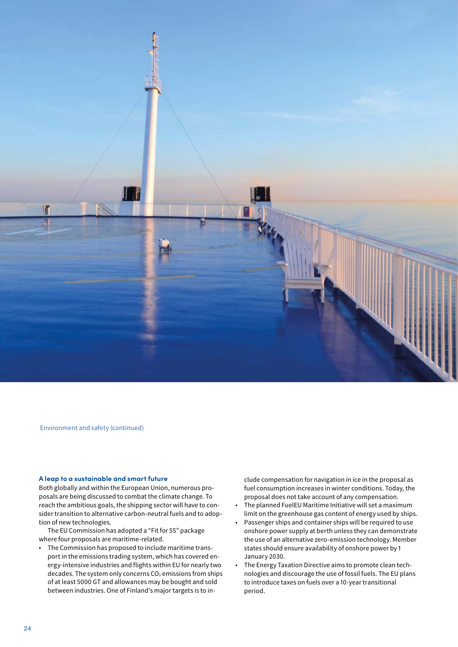

Environment and safety (continued)

#### **A leap to a sustainable and smart future**

Both globally and within the European Union, numerous proposals are being discussed to combat the climate change. To reach the ambitious goals, the shipping sector will have to consider transition to alternative carbon-neutral fuels and to adoption of new technologies.

The EU Commission has adopted a "Fit for 55" package where four proposals are maritime-related.

• The Commission has proposed to include maritime transport in the emissions trading system, which has covered energy-intensive industries and flights within EU for nearly two decades. The system only concerns  $CO<sub>2</sub>$  emissions from ships of at least 5000 GT and allowances may be bought and sold between industries. One of Finland's major targets is to include compensation for navigation in ice in the proposal as fuel consumption increases in winter conditions. Today, the proposal does not take account of any compensation.

- The planned FuelEU Maritime Initiative will set a maximum limit on the greenhouse gas content of energy used by ships.
- Passenger ships and container ships will be required to use onshore power supply at berth unless they can demonstrate the use of an alternative zero-emission technology. Member states should ensure availability of onshore power by 1 January 2030.
- The Energy Taxation Directive aims to promote clean technologies and discourage the use of fossil fuels. The EU plans to introduce taxes on fuels over a 10-year transitional period.